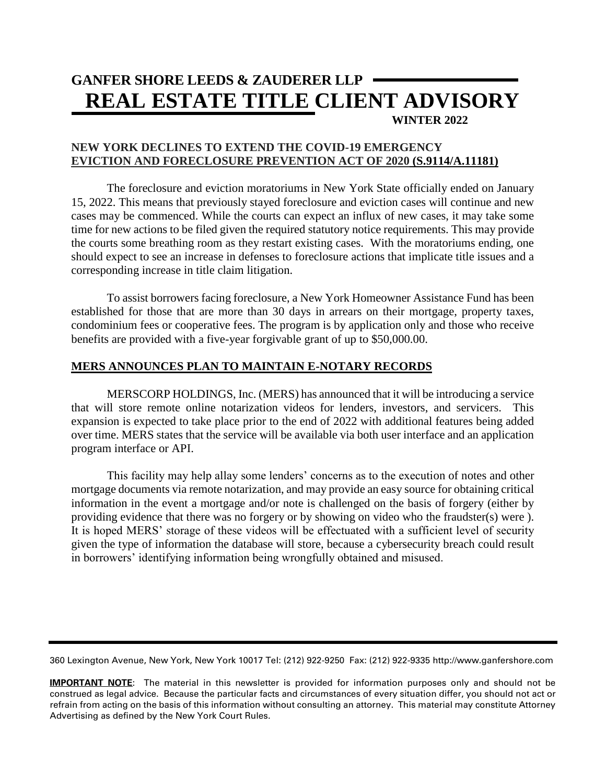# **GANFER SHORE LEEDS & ZAUDERER LLP REAL ESTATE TITLE CLIENT ADVISORY WINTER 2022**

## **NEW YORK DECLINES TO EXTEND THE COVID-19 EMERGENCY EVICTION AND FORECLOSURE PREVENTION ACT OF 2020 (S.9114/A.11181)**

The foreclosure and eviction moratoriums in New York State officially ended on January 15, 2022. This means that previously stayed foreclosure and eviction cases will continue and new cases may be commenced. While the courts can expect an influx of new cases, it may take some time for new actions to be filed given the required statutory notice requirements. This may provide the courts some breathing room as they restart existing cases. With the moratoriums ending, one should expect to see an increase in defenses to foreclosure actions that implicate title issues and a corresponding increase in title claim litigation.

To assist borrowers facing foreclosure, a New York Homeowner Assistance Fund has been established for those that are more than 30 days in arrears on their mortgage, property taxes, condominium fees or cooperative fees. The program is by application only and those who receive benefits are provided with a five-year forgivable grant of up to \$50,000.00.

## **MERS ANNOUNCES PLAN TO MAINTAIN E-NOTARY RECORDS**

MERSCORP HOLDINGS, Inc. (MERS) has announced that it will be introducing a service that will store remote online notarization videos for lenders, investors, and servicers. This expansion is expected to take place prior to the end of 2022 with additional features being added over time. MERS states that the service will be available via both user interface and an application program interface or API.

This facility may help allay some lenders' concerns as to the execution of notes and other mortgage documents via remote notarization, and may provide an easy source for obtaining critical information in the event a mortgage and/or note is challenged on the basis of forgery (either by providing evidence that there was no forgery or by showing on video who the fraudster(s) were ). It is hoped MERS' storage of these videos will be effectuated with a sufficient level of security given the type of information the database will store, because a cybersecurity breach could result in borrowers' identifying information being wrongfully obtained and misused.

360 Lexington Avenue, New York, New York 10017 Tel: (212) 922-9250 Fax: (212) 922-9335 http://www.ganfershore.com

**IMPORTANT NOTE**: The material in this newsletter is provided for information purposes only and should not be construed as legal advice. Because the particular facts and circumstances of every situation differ, you should not act or refrain from acting on the basis of this information without consulting an attorney. This material may constitute Attorney Advertising as defined by the New York Court Rules.